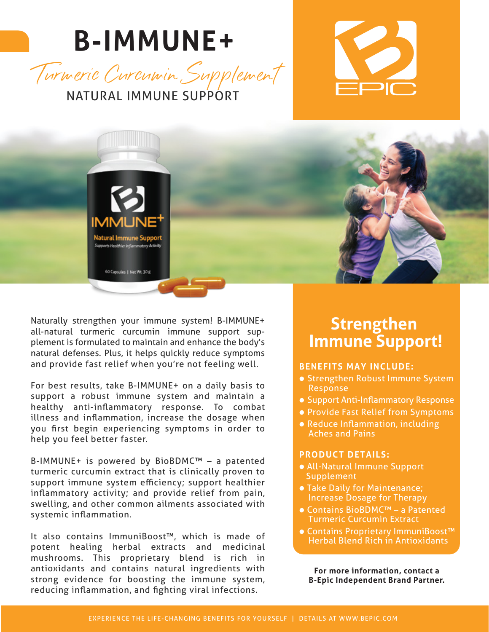# **B-IMMUNE+**







Naturally strengthen your immune system! B-IMMUNE+ all-natural turmeric curcumin immune support supplement is formulated to maintain and enhance the body's natural defenses. Plus, it helps quickly reduce symptoms and provide fast relief when you're not feeling well.

For best results, take B-IMMUNE+ on a daily basis to support a robust immune system and maintain a healthy anti-inflammatory response. To combat illness and inflammation, increase the dosage when you first begin experiencing symptoms in order to help you feel better faster.

B-IMMUNE+ is powered by BioBDMC™ – a patented turmeric curcumin extract that is clinically proven to support immune system efficiency; support healthier inflammatory activity; and provide relief from pain, swelling, and other common ailments associated with systemic inflammation.

It also contains ImmuniBoost™, which is made of potent healing herbal extracts and medicinal mushrooms. This proprietary blend is rich in antioxidants and contains natural ingredients with strong evidence for boosting the immune system, reducing inflammation, and fighting viral infections.

### **Strengthen Immune Support!**

#### **BENEFITS MAY INCLUDE:**

- Strengthen Robust Immune System Response
- Support Anti-Inflammatory Response
- Provide Fast Relief from Symptoms
- Reduce Inflammation, including Aches and Pains

#### **PRODUCT DETAILS:**

- All-Natural Immune Support **Supplement**
- Take Daily for Maintenance; Increase Dosage for Therapy
- Contains BioBDMC™ a Patented Turmeric Curcumin Extract
- Contains Proprietary ImmuniBoost™ Herbal Blend Rich in Antioxidants

**For more information, contact a B-Epic Independent Brand Partner.**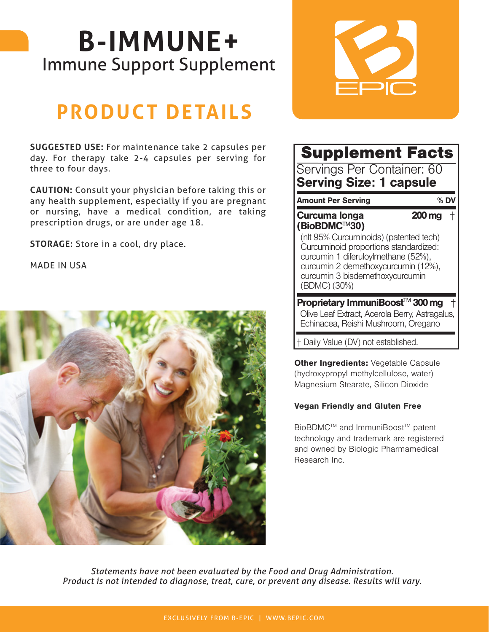## **B-IMMUNE+** Immune Support Supplement

### **PRODUCT DETAILS**

**SUGGESTED USE:** For maintenance take 2 capsules per day. For therapy take 2-4 capsules per serving for three to four days.

**CAUTION:** Consult your physician before taking this or any health supplement, especially if you are pregnant or nursing, have a medical condition, are taking prescription drugs, or are under age 18.

**STORAGE:** Store in a cool, dry place.

MADE IN USA





#### Supplement Facts Servings Per Container: 60 Serving Size: 1 capsule Amount Per Serving % DV Curcuma longa (BioBDMC™30) Proprietary ImmuniBoost $M$  300 mg  $+$ 200 mg † (nlt 95% Curcuminoids) (patented tech) Curcuminoid proportions standardized: curcumin 1 diferuloylmethane (52%), curcumin 2 demethoxycurcumin (12%), curcumin 3 bisdemethoxycurcumin (BDMC) (30%) Olive Leaf Extract, Acerola Berry, Astragalus, Echinacea, Reishi Mushroom, Oregano

† Daily Value (DV) not established.

**Other Ingredients: Vegetable Capsule** (hydroxypropyl methylcellulose, water) Magnesium Stearate, Silicon Dioxide

#### Vegan Friendly and Gluten Free

BioBDMC™ and ImmuniBoost™ patent technology and trademark are registered and owned by Biologic Pharmamedical Research Inc.

*Statements have not been evaluated by the Food and Drug Administration. Product is not intended to diagnose, treat, cure, or prevent any disease. Results will vary.*